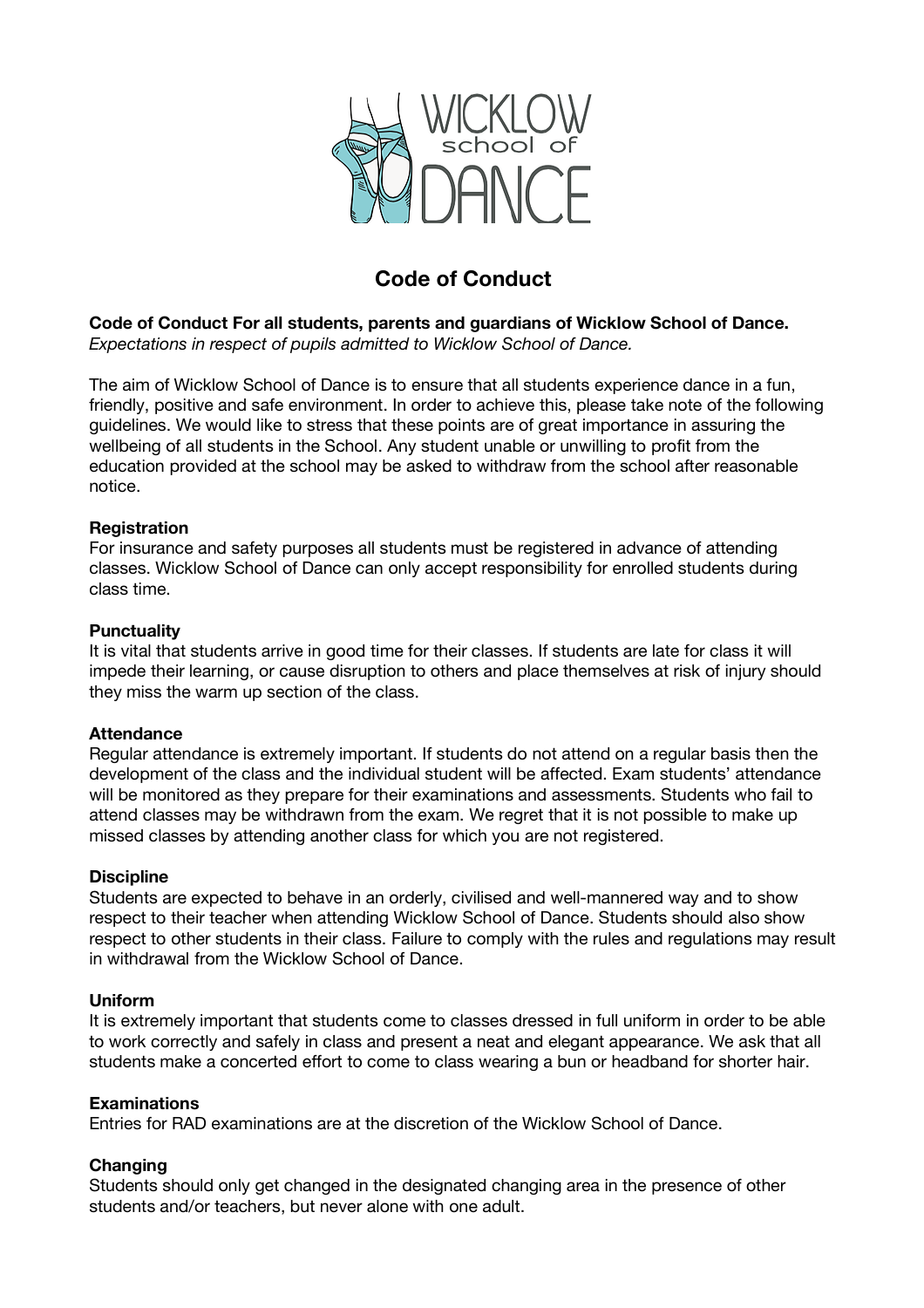

# **Code of Conduct**

**Code of Conduct For all students, parents and guardians of Wicklow School of Dance.** *Expectations in respect of pupils admitted to Wicklow School of Dance.*

The aim of Wicklow School of Dance is to ensure that all students experience dance in a fun, friendly, positive and safe environment. In order to achieve this, please take note of the following guidelines. We would like to stress that these points are of great importance in assuring the wellbeing of all students in the School. Any student unable or unwilling to profit from the education provided at the school may be asked to withdraw from the school after reasonable notice.

#### **Registration**

For insurance and safety purposes all students must be registered in advance of attending classes. Wicklow School of Dance can only accept responsibility for enrolled students during class time.

#### **Punctuality**

It is vital that students arrive in good time for their classes. If students are late for class it will impede their learning, or cause disruption to others and place themselves at risk of injury should they miss the warm up section of the class.

#### **Attendance**

Regular attendance is extremely important. If students do not attend on a regular basis then the development of the class and the individual student will be affected. Exam students' attendance will be monitored as they prepare for their examinations and assessments. Students who fail to attend classes may be withdrawn from the exam. We regret that it is not possible to make up missed classes by attending another class for which you are not registered.

#### **Discipline**

Students are expected to behave in an orderly, civilised and well-mannered way and to show respect to their teacher when attending Wicklow School of Dance. Students should also show respect to other students in their class. Failure to comply with the rules and regulations may result in withdrawal from the Wicklow School of Dance.

#### **Uniform**

It is extremely important that students come to classes dressed in full uniform in order to be able to work correctly and safely in class and present a neat and elegant appearance. We ask that all students make a concerted effort to come to class wearing a bun or headband for shorter hair.

#### **Examinations**

Entries for RAD examinations are at the discretion of the Wicklow School of Dance.

#### **Changing**

Students should only get changed in the designated changing area in the presence of other students and/or teachers, but never alone with one adult.